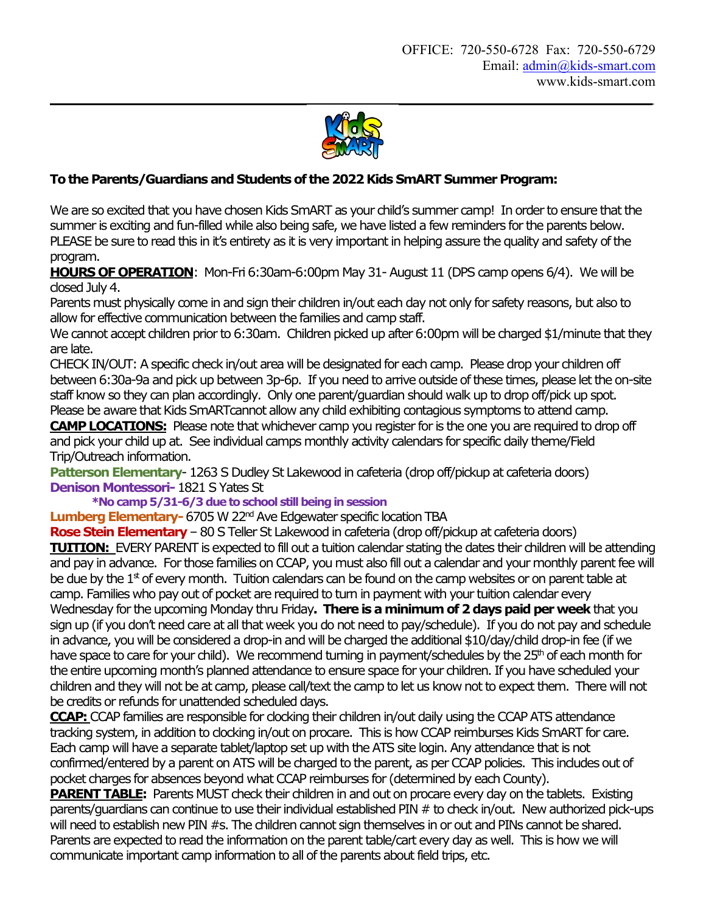**\_\_\_\_\_\_\_\_\_\_\_**



## **To the Parents/Guardians and Students of the 2022Kids SmART Summer Program:**

We are so excited that you have chosen Kids SmART as your child's summer camp! In order to ensure that the summer is exciting and fun-filled while also being safe, we have listed a few reminders for the parents below. PLEASE be sure to read this in it's entirety as it is very important in helping assure the quality and safety of the program.

**HOURS OF OPERATION**: Mon-Fri 6:30am-6:00pm May 31-August 11 (DPS camp opens 6/4). We will be closed July 4.

Parents must physically come in and sign their children in/out each day not only for safety reasons, but also to allow for effective communication between the families and camp staff.

We cannot accept children prior to 6:30am. Children picked up after 6:00pm will be charged \$1/minute that they are late.

CHECK IN/OUT: A specific check in/out area will be designated for each camp. Please drop your children off between 6:30a-9a and pick up between 3p-6p. If you need to arrive outside of these times, please let the on-site staff know so they can plan accordingly. Only one parent/guardian should walk up to drop off/pick up spot. Please be aware that Kids SmARTcannot allow any child exhibiting contagious symptoms to attend camp.

**CAMP LOCATIONS:** Please note that whichever camp you register for is the one you are required to drop off and pick your child up at. See individual camps monthly activity calendars for specific daily theme/Field Trip/Outreach information.

**Patterson Elementary**- 1263 S Dudley St Lakewood in cafeteria (drop off/pickup at cafeteria doors) **Denison Montessori-**1821 S Yates St

**\*No camp 5/31-6/3 due to school still being in session**

**Lumberg Elementary-** 6705 W 22<sup>nd</sup> Ave Edgewater specific location TBA

**Rose Stein Elementary**– 80 S Teller St Lakewood in cafeteria (drop off/pickup at cafeteria doors) **TUITION:** EVERY PARENT is expected to fill out a tuition calendar stating the dates their children will be attending and pay in advance. For those families on CCAP, you must also fill out a calendar and your monthly parent fee will be due by the  $1<sup>st</sup>$  of every month. Tuition calendars can be found on the camp websites or on parent table at camp. Families who pay out of pocket are required to turn in payment with your tuition calendar every Wednesday for the upcoming Monday thru Friday**. There is a minimum of 2 days paid per week**that you sign up (if you don't need care at all that week you do not need to pay/schedule). If you do not pay and schedule in advance, you will be considered a drop-in and will be charged the additional \$10/day/child drop-in fee (if we have space to care for your child). We recommend turning in payment/schedules by the 25<sup>th</sup> of each month for the entire upcoming month's planned attendance to ensure space for your children. If you have scheduled your children and they will not be at camp, please call/text the camp to let us know not to expect them. There will not be credits or refunds for unattended scheduled days.

**CCAP:**CCAP families are responsible for clocking their children in/out daily using the CCAP ATS attendance tracking system, in addition to clocking in/out on procare. This is how CCAP reimburses Kids SmART for care. Each camp will have a separate tablet/laptop set up with the ATS site login. Any attendance that is not confirmed/entered by a parent on ATS will be charged to the parent, as per CCAP policies. This includes out of pocket charges for absences beyond what CCAP reimburses for (determined by each County).

**PARENT TABLE:** Parents MUST check their children in and out on procare every day on the tablets. Existing parents/guardians can continue to use their individual established PIN # to check in/out. New authorized pick-ups will need to establish new PIN #s. The children cannot sign themselves in or out and PINs cannot be shared. Parents are expected to read the information on the parent table/cart every day as well. This is how we will communicate important camp information to all of the parents about field trips, etc.